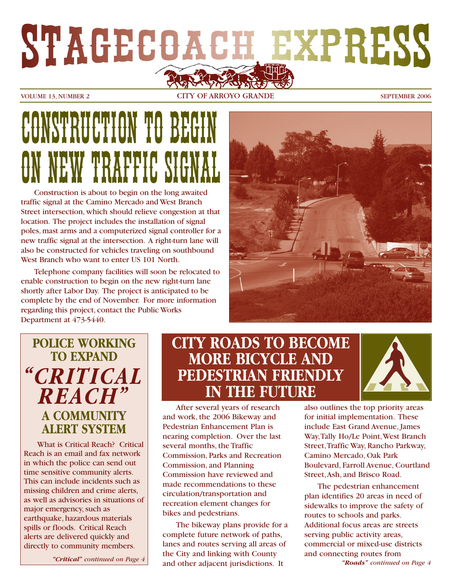# STAGECOACH EXPRESS

VOLUME 13. NUMBER 2 CITY OF ARROYO GRANDE SEPTEMBER 2006

# CONGUESTION TO BEGIN W TRAFFIC SIG

Construction is about to begin on the long awaited traffic signal at the Camino Mercado and West Branch Street intersection, which should relieve congestion at that location. The project includes the installation of signal poles, mast arms and a computerized signal controller for a new traffic signal at the intersection. A right-turn lane will also be constructed for vehicles traveling on southbound West Branch who want to enter US 101 North.

Telephone company facilities will soon be relocated to enable construction to begin on the new right-turn lane shortly after Labor Day. The project is anticipated to be complete by the end of November. For more information regarding this project, contact the Public Works Department at 473-5440.



# **POLICE WORKING TO EXPAND** *"CRITICAL REACH"* **A COMMUNITY ALERT SYSTEM**

What is Critical Reach? Critical Reach is an email and fax network in which the police can send out time sensitive community alerts. This can include incidents such as missing children and crime alerts, as well as advisories in situations of major emergency, such as earthquake, hazardous materials spills or floods. Critical Reach alerts are delivered quickly and directly to community members.

*"Critical" continued on Page 4*

### **CITY ROADS TO BECOME MORE BICYCLE AND PEDESTRIAN FRIENDLY IN THE FUTURE**



After several years of research and work, the 2006 Bikeway and Pedestrian Enhancement Plan is nearing completion. Over the last several months, the Traffic Commission, Parks and Recreation Commission, and Planning Commission have reviewed and made recommendations to these circulation/transportation and recreation element changes for bikes and pedestrians.

The bikeway plans provide for a complete future network of paths, lanes and routes serving all areas of the City and linking with County and other adjacent jurisdictions. It

also outlines the top priority areas for initial implementation. These include East Grand Avenue, James Way,Tally Ho/Le Point,West Branch Street,Traffic Way, Rancho Parkway, Camino Mercado, Oak Park Boulevard, Farroll Avenue, Courtland Street,Ash, and Brisco Road.

The pedestrian enhancement plan identifies 20 areas in need of sidewalks to improve the safety of routes to schools and parks. Additional focus areas are streets serving public activity areas, commercial or mixed-use districts and connecting routes from

*"Roads" continued on Page 4*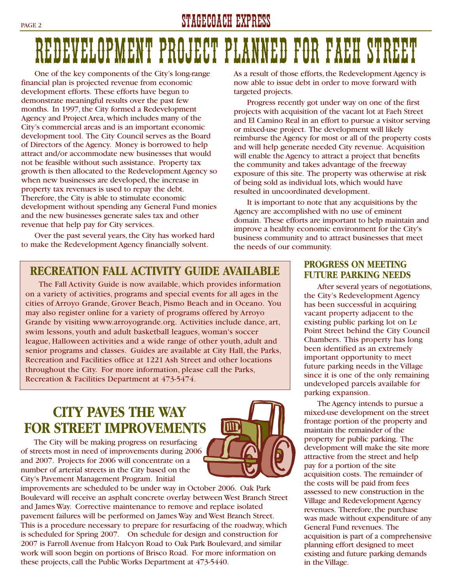#### PAGE 2 STAGECOACH EXPRESS

# REDEVELOPMENT PROJECT PLANNED FOR FAEH ST

IM

One of the key components of the City's long-range financial plan is projected revenue from economic development efforts. These efforts have begun to demonstrate meaningful results over the past few months. In 1997, the City formed a Redevelopment Agency and Project Area, which includes many of the City's commercial areas and is an important economic development tool. The City Council serves as the Board of Directors of the Agency. Money is borrowed to help attract and/or accommodate new businesses that would not be feasible without such assistance. Property tax growth is then allocated to the Redevelopment Agency so when new businesses are developed, the increase in property tax revenues is used to repay the debt. Therefore, the City is able to stimulate economic development without spending any General Fund monies and the new businesses generate sales tax and other revenue that help pay for City services.

Over the past several years, the City has worked hard to make the Redevelopment Agency financially solvent.

As a result of those efforts, the Redevelopment Agency is now able to issue debt in order to move forward with targeted projects.

Progress recently got under way on one of the first projects with acquisition of the vacant lot at Faeh Street and El Camino Real in an effort to pursue a visitor serving or mixed-use project. The development will likely reimburse the Agency for most or all of the property costs and will help generate needed City revenue. Acquisition will enable the Agency to attract a project that benefits the community and takes advantage of the freeway exposure of this site. The property was otherwise at risk of being sold as individual lots, which would have resulted in uncoordinated development.

It is important to note that any acquisitions by the Agency are accomplished with no use of eminent domain. These efforts are important to help maintain and improve a healthy economic environment for the City's business community and to attract businesses that meet the needs of our community.

#### **RECREATION FALL ACTIVITY GUIDE AVAILABLE**

The Fall Activity Guide is now available, which provides information on a variety of activities, programs and special events for all ages in the cities of Arroyo Grande, Grover Beach, Pismo Beach and in Oceano. You may also register online for a variety of programs offered by Arroyo Grande by visiting www.arroyogrande.org. Activities include dance, art, swim lessons, youth and adult basketball leagues, woman's soccer league, Halloween activities and a wide range of other youth, adult and senior programs and classes. Guides are available at City Hall, the Parks, Recreation and Facilities office at 1221 Ash Street and other locations throughout the City. For more information, please call the Parks, Recreation & Facilities Department at 473-5474.

### **CITY PAVES THE WAY FOR STREET IMPROVEMENTS**

The City will be making progress on resurfacing of streets most in need of improvements during 2006 and 2007. Projects for 2006 will concentrate on a number of arterial streets in the City based on the City's Pavement Management Program. Initial



#### **PROGRESS ON MEETING FUTURE PARKING NEEDS**

After several years of negotiations, the City's Redevelopment Agency has been successful in acquiring vacant property adjacent to the existing public parking lot on Le Point Street behind the City Council Chambers. This property has long been identified as an extremely important opportunity to meet future parking needs in the Village since it is one of the only remaining undeveloped parcels available for parking expansion.

The Agency intends to pursue a mixed-use development on the street frontage portion of the property and maintain the remainder of the property for public parking. The development will make the site more attractive from the street and help pay for a portion of the site acquisition costs. The remainder of the costs will be paid from fees assessed to new construction in the Village and Redevelopment Agency revenues. Therefore, the purchase was made without expenditure of any General Fund revenues. The acquisition is part of a comprehensive planning effort designed to meet existing and future parking demands in the Village.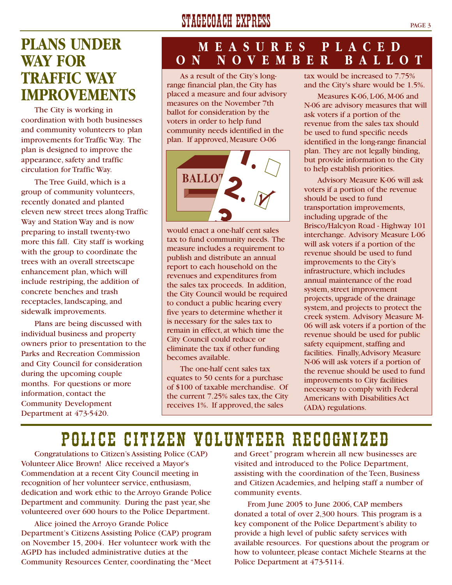# **PLANS UNDER WAY FOR TRAFFIC WAY IMPROVEMENTS**

The City is working in coordination with both businesses and community volunteers to plan improvements for Traffic Way. The plan is designed to improve the appearance, safety and traffic circulation for Traffic Way.

The Tree Guild, which is a group of community volunteers, recently donated and planted eleven new street trees along Traffic Way and Station Way and is now preparing to install twenty-two more this fall. City staff is working with the group to coordinate the trees with an overall streetscape enhancement plan, which will include restriping, the addition of concrete benches and trash receptacles, landscaping, and sidewalk improvements.

Plans are being discussed with individual business and property owners prior to presentation to the Parks and Recreation Commission and City Council for consideration during the upcoming couple months. For questions or more information, contact the Community Development Department at 473-5420.

# STAGECOACH EXPRESS PAGE 3

#### **MEASURES PLACED ON NOVEMBER BALLOT**

As a result of the City's longrange financial plan, the City has placed a measure and four advisory measures on the November 7th ballot for consideration by the voters in order to help fund community needs identified in the plan. If approved, Measure O-06



would enact a one-half cent sales tax to fund community needs. The measure includes a requirement to publish and distribute an annual report to each household on the revenues and expenditures from the sales tax proceeds. In addition, the City Council would be required to conduct a public hearing every five years to determine whether it is necessary for the sales tax to remain in effect, at which time the City Council could reduce or eliminate the tax if other funding becomes available.

The one-half cent sales tax equates to 50 cents for a purchase of \$100 of taxable merchandise. Of the current 7.25% sales tax, the City receives 1%. If approved, the sales

tax would be increased to 7.75% and the City's share would be 1.5%.

Measures K-06, L-06, M-06 and N-06 are advisory measures that will ask voters if a portion of the revenue from the sales tax should be used to fund specific needs identified in the long-range financial plan. They are not legally binding, but provide information to the City to help establish priorities.

Advisory Measure K-06 will ask voters if a portion of the revenue should be used to fund transportation improvements, including upgrade of the Brisco/Halcyon Road - Highway 101 interchange. Advisory Measure L-06 will ask voters if a portion of the revenue should be used to fund improvements to the City's infrastructure, which includes annual maintenance of the road system, street improvement projects, upgrade of the drainage system, and projects to protect the creek system. Advisory Measure M-06 will ask voters if a portion of the revenue should be used for public safety equipment, staffing and facilities. Finally,Advisory Measure N-06 will ask voters if a portion of the revenue should be used to fund improvements to City facilities necessary to comply with Federal Americans with Disabilities Act (ADA) regulations.

# POLICE CITIZEN VOLUNTEER RECOGNIZED

Congratulations to Citizen's Assisting Police (CAP) Volunteer Alice Brown! Alice received a Mayor's Commendation at a recent City Council meeting in recognition of her volunteer service, enthusiasm, dedication and work ethic to the Arroyo Grande Police Department and community. During the past year, she volunteered over 600 hours to the Police Department.

Alice joined the Arroyo Grande Police Department's Citizens Assisting Police (CAP) program on November 15, 2004. Her volunteer work with the AGPD has included administrative duties at the Community Resources Center, coordinating the "Meet and Greet" program wherein all new businesses are visited and introduced to the Police Department, assisting with the coordination of the Teen, Business and Citizen Academies, and helping staff a number of community events.

From June 2005 to June 2006, CAP members donated a total of over 2,300 hours. This program is a key component of the Police Department's ability to provide a high level of public safety services with available resources. For questions about the program or how to volunteer, please contact Michele Stearns at the Police Department at 473-5114.